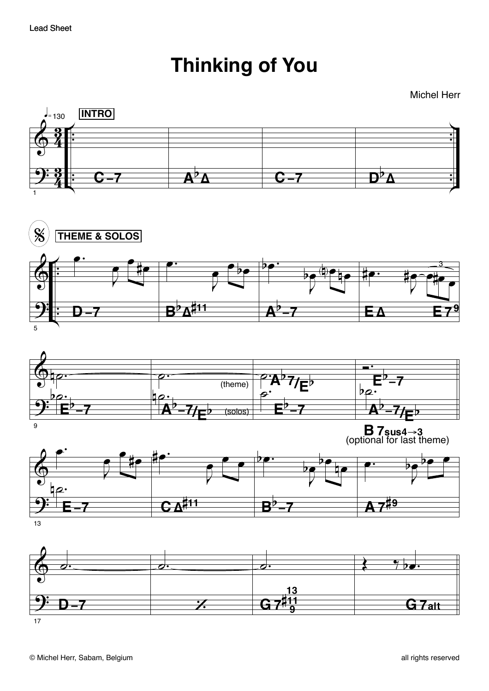## **Thinking of You**

**Michel Herr** 



 $17$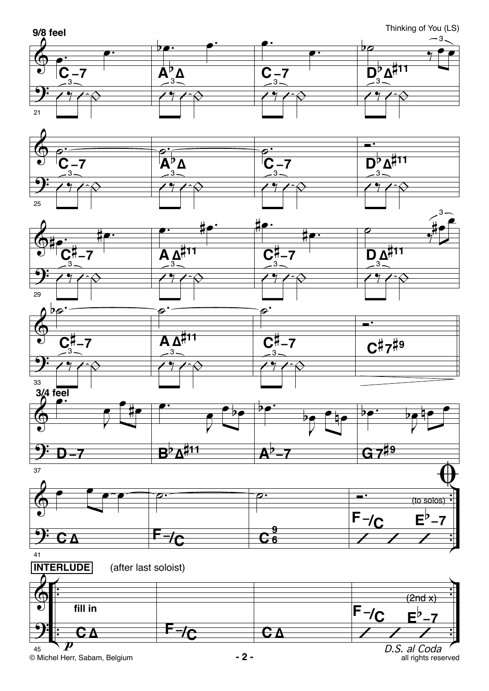

© Michel Herr, Sabam, Belgium **- 2 -**

D.S. al Coda<br>all rights reserved